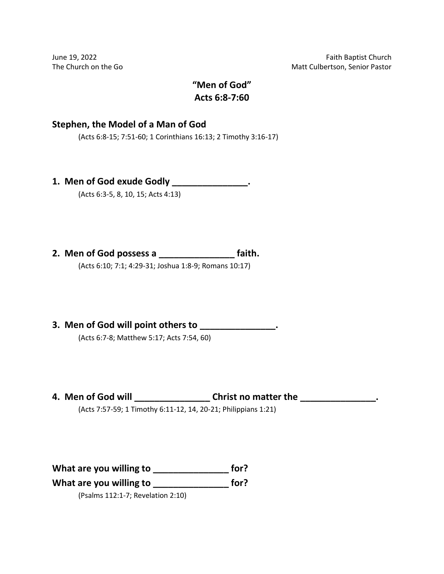# **"Men of God" Acts 6:8-7:60**

### **Stephen, the Model of a Man of God**

(Acts 6:8-15; 7:51-60; 1 Corinthians 16:13; 2 Timothy 3:16-17)

**1. Men of God exude Godly \_\_\_\_\_\_\_\_\_\_\_\_\_\_\_.**

(Acts 6:3-5, 8, 10, 15; Acts 4:13)

**2. Men of God possess a \_\_\_\_\_\_\_\_\_\_\_\_\_\_\_ faith.**

(Acts 6:10; 7:1; 4:29-31; Joshua 1:8-9; Romans 10:17)

**3. Men of God will point others to \_\_\_\_\_\_\_\_\_\_\_\_\_\_\_.**

(Acts 6:7-8; Matthew 5:17; Acts 7:54, 60)

**4. Men of God will \_\_\_\_\_\_\_\_\_\_\_\_\_\_\_ Christ no matter the \_\_\_\_\_\_\_\_\_\_\_\_\_\_\_.**

(Acts 7:57-59; 1 Timothy 6:11-12, 14, 20-21; Philippians 1:21)

**What are you willing to \_\_\_\_\_\_\_\_\_\_\_\_\_\_\_ for?**

**What are you willing to \_\_\_\_\_\_\_\_\_\_\_\_\_\_\_ for?**

(Psalms 112:1-7; Revelation 2:10)